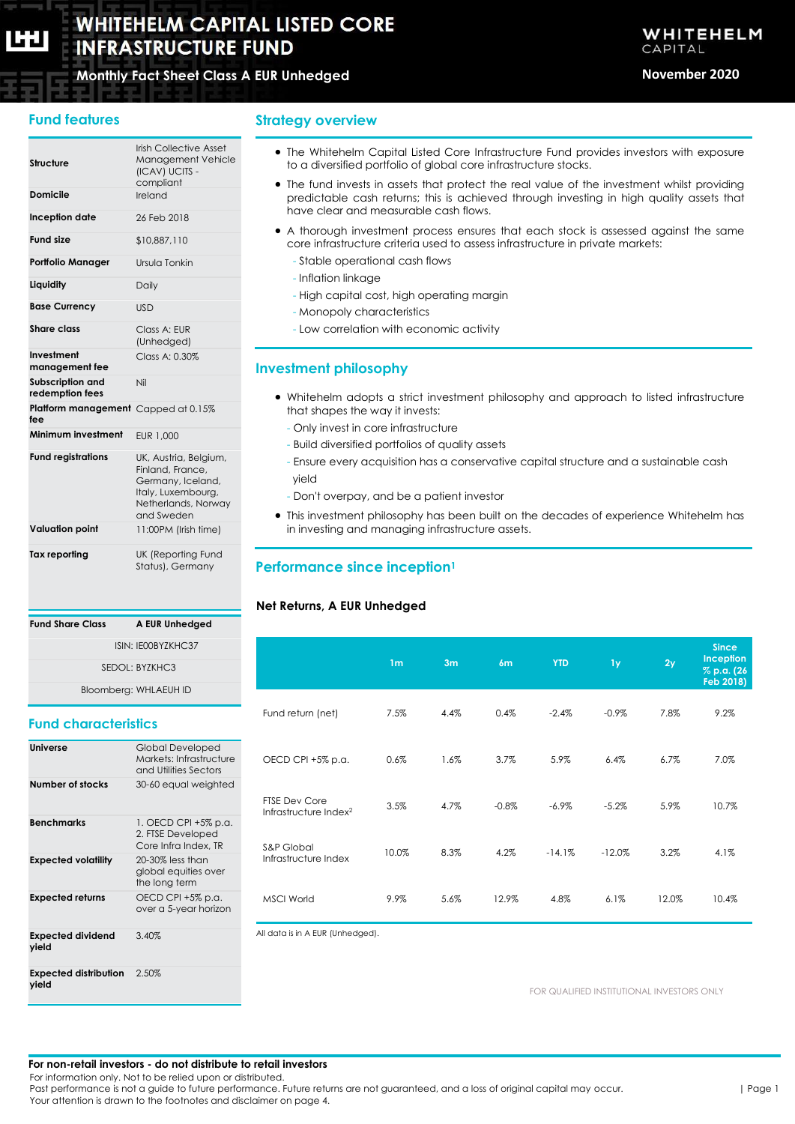# **WHITEHELM CAPITAL LISTED CORE INFRASTRUCTURE FUND**

# **Monthly Fact Sheet Class A EUR Unhedged November 2020**

# **Fund features**

| Structure                                  | <b>Irish Collective Asset</b><br>Management Vehicle<br>(ICAV) UCITS -<br>compliant                                        |
|--------------------------------------------|---------------------------------------------------------------------------------------------------------------------------|
| Domicile                                   | Ireland                                                                                                                   |
| Inception date                             | 26 Feb 2018                                                                                                               |
| <b>Fund size</b>                           | \$10,887,110                                                                                                              |
| <b>Portfolio Manager</b>                   | Ursula Tonkin                                                                                                             |
| Liquidity                                  | Daily                                                                                                                     |
| <b>Base Currency</b>                       | <b>USD</b>                                                                                                                |
| <b>Share class</b>                         | Class A: EUR<br>(Unhedged)                                                                                                |
| Investment<br>management fee               | Class A: 0.30%                                                                                                            |
| Subscription and<br>redemption fees        | Nil                                                                                                                       |
| Platform management Capped at 0.15%<br>fee |                                                                                                                           |
| Minimum investment                         | EUR 1.000                                                                                                                 |
| <b>Fund registrations</b>                  | UK, Austria, Belgium,<br>Finland, France.<br>Germany, Iceland,<br>Italy, Luxembourg,<br>Netherlands, Norway<br>and Sweden |
| <b>Valuation point</b>                     | 11:00PM (Irish time)                                                                                                      |
| <b>Tax reporting</b>                       | <b>UK (Reporting Fund</b><br>Status), Germany                                                                             |

**Fund Share Class A EUR Unhedged**

# **Strategy overview**

- The Whitehelm Capital Listed Core Infrastructure Fund provides investors with exposure to a diversified portfolio of global core infrastructure stocks.
- The fund invests in assets that protect the real value of the investment whilst providing predictable cash returns; this is achieved through investing in high quality assets that have clear and measurable cash flows.
- A thorough investment process ensures that each stock is assessed against the same core infrastructure criteria used to assess infrastructure in private markets:
	- Stable operational cash flows
	- Inflation linkage
	- High capital cost, high operating margin
	- Monopoly characteristics
	- Low correlation with economic activity

# **Investment philosophy**

- Whitehelm adopts a strict investment philosophy and approach to listed infrastructure that shapes the way it invests:
	- Only invest in core infrastructure
	- Build diversified portfolios of quality assets
	- Ensure every acquisition has a conservative capital structure and a sustainable cash yield
	- Don't overpay, and be a patient investor
- This investment philosophy has been built on the decades of experience Whitehelm has in investing and managing infrastructure assets.

# **Performance since inception<sup>1</sup>**

## **Net Returns, A EUR Unhedged**

| ISIN: IE00BYZKHC37<br>SEDOL: BYZKHC3<br>Bloomberg: WHLAEUH ID |                                                                      |                                                           | 1 <sub>m</sub> | 3m   | 6m       | <b>YTD</b> | 1 <sub>y</sub> | 2y    | <b>Since</b><br><b>Inception</b><br>% p.a. (26<br>Feb 2018) |
|---------------------------------------------------------------|----------------------------------------------------------------------|-----------------------------------------------------------|----------------|------|----------|------------|----------------|-------|-------------------------------------------------------------|
| <b>Fund characteristics</b>                                   |                                                                      | Fund return (net)                                         | 7.5%           | 4.4% | 0.4%     | $-2.4%$    | $-0.9\%$       | 7.8%  | 9.2%                                                        |
| <b>Universe</b>                                               | Global Developed<br>Markets: Infrastructure<br>and Utilities Sectors | OECD CPI +5% p.a.                                         | 0.6%           | 1.6% | 3.7%     | 5.9%       | 6.4%           | 6.7%  | 7.0%                                                        |
| Number of stocks                                              | 30-60 equal weighted                                                 | <b>FTSE Dev Core</b><br>Infrastructure Index <sup>2</sup> | 3.5%           | 4.7% | $-0.8\%$ | $-6.9\%$   | $-5.2%$        | 5.9%  | 10.7%                                                       |
| <b>Benchmarks</b>                                             | 1. OECD CPI +5% p.a.<br>2. FTSE Developed<br>Core Infra Index, TR    | S&P Global                                                |                |      |          |            |                |       |                                                             |
| <b>Expected volatility</b>                                    | 20-30% less than<br>global equities over<br>the long term            | Infrastructure Index                                      | 10.0%          | 8.3% | 4.2%     | $-14.1%$   | $-12.0%$       | 3.2%  | 4.1%                                                        |
| <b>Expected returns</b>                                       | OECD CPI +5% p.a.<br>over a 5-year horizon                           | <b>MSCI World</b>                                         | 9.9%           | 5.6% | 12.9%    | 4.8%       | 6.1%           | 12.0% | 10.4%                                                       |
| <b>Expected dividend</b><br>yield                             | 3.40%                                                                | All data is in A EUR (Unhedged).                          |                |      |          |            |                |       |                                                             |

FOR QUALIFIED INSTITUTIONAL INVESTORS ONLY

#### **For non-retail investors - do not distribute to retail investors**

For information only. Not to be relied upon or distributed.

2.50%

**Expected distribution** 

**yield**

Past performance is not a guide to future performance. Future returns are not guaranteed, and a loss of original capital may occur. Your attention is drawn to the footnotes and disclaimer on page 4.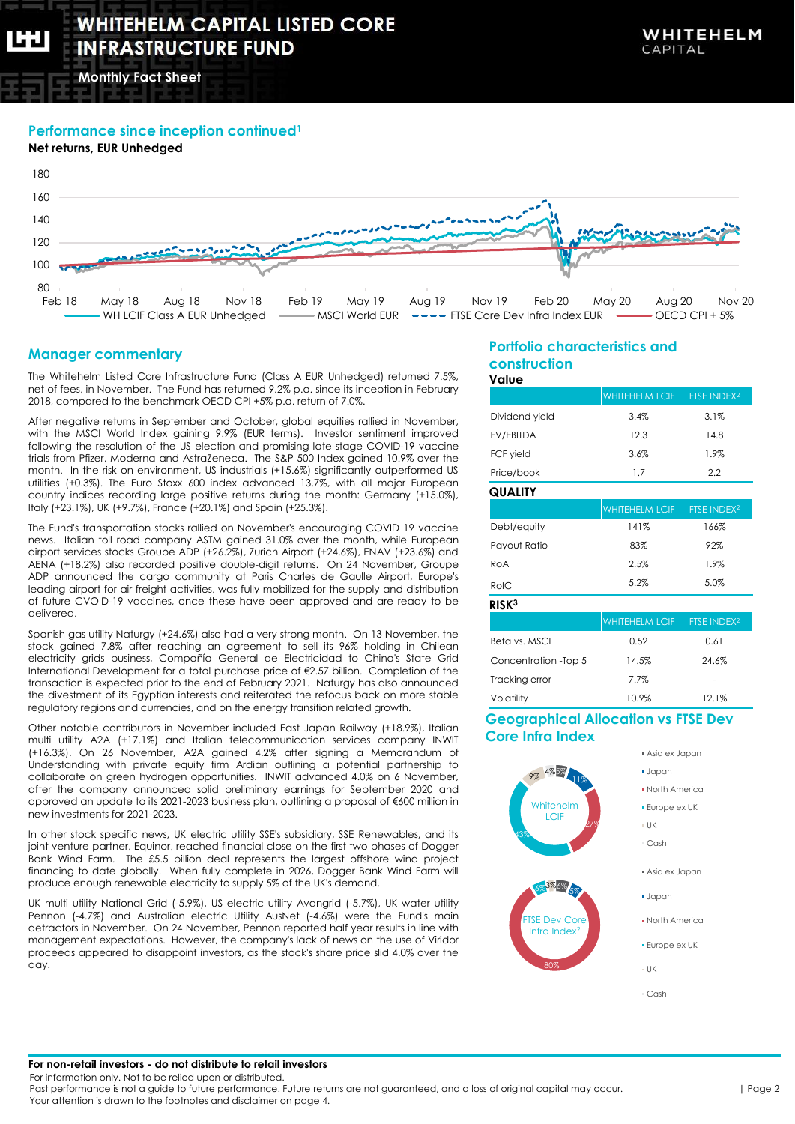**Monthly Fact Sheet**

## **Performance since inception continued<sup>1</sup>**



# **Manager commentary**

The Whitehelm Listed Core Infrastructure Fund (Class A EUR Unhedged) returned 7.5%, net of fees, in November. The Fund has returned 9.2% p.a. since its inception in February 2018, compared to the benchmark OECD CPI +5% p.a. return of 7.0%.

After negative returns in September and October, global equities rallied in November, with the MSCI World Index gaining 9.9% (EUR terms). Investor sentiment improved following the resolution of the US election and promising late-stage COVID-19 vaccine trials from Pfizer, Moderna and AstraZeneca. The S&P 500 Index gained 10.9% over the month. In the risk on environment, US industrials (+15.6%) significantly outperformed US utilities (+0.3%). The Euro Stoxx 600 index advanced 13.7%, with all major European country indices recording large positive returns during the month: Germany (+15.0%), Italy (+23.1%), UK (+9.7%), France (+20.1%) and Spain (+25.3%).

The Fund's transportation stocks rallied on November's encouraging COVID 19 vaccine news. Italian toll road company ASTM gained 31.0% over the month, while European airport services stocks Groupe ADP (+26.2%), Zurich Airport (+24.6%), ENAV (+23.6%) and AENA (+18.2%) also recorded positive double-digit returns. On 24 November, Groupe ADP announced the cargo community at Paris Charles de Gaulle Airport, Europe's leading airport for air freight activities, was fully mobilized for the supply and distribution of future CVOID-19 vaccines, once these have been approved and are ready to be delivered.

Spanish gas utility Naturgy (+24.6%) also had a very strong month. On 13 November, the stock gained 7.8% after reaching an agreement to sell its 96% holding in Chilean electricity grids business, Compañía General de Electricidad to China's State Grid International Development for a total purchase price of €2.57 billion. Completion of the transaction is expected prior to the end of February 2021. Naturgy has also announced the divestment of its Egyptian interests and reiterated the refocus back on more stable regulatory regions and currencies, and on the energy transition related growth.

Other notable contributors in November included East Japan Railway (+18.9%), Italian multi utility A2A (+17.1%) and Italian telecommunication services company INWIT (+16.3%). On 26 November, A2A gained 4.2% after signing a Memorandum of Understanding with private equity firm Ardian outlining a potential partnership to collaborate on green hydrogen opportunities. INWIT advanced 4.0% on 6 November, after the company announced solid preliminary earnings for September 2020 and approved an update to its 2021-2023 business plan, outlining a proposal of €600 million in new investments for 2021-2023.

In other stock specific news, UK electric utility SSE's subsidiary, SSE Renewables, and its joint venture partner, Equinor, reached financial close on the first two phases of Dogger Bank Wind Farm. The £5.5 billion deal represents the largest offshore wind project financing to date globally. When fully complete in 2026, Dogger Bank Wind Farm will produce enough renewable electricity to supply 5% of the UK's demand.

UK multi utility National Grid (-5.9%), US electric utility Avangrid (-5.7%), UK water utility Pennon (-4.7%) and Australian electric Utility AusNet (-4.6%) were the Fund's main detractors in November. On 24 November, Pennon reported half year results in line with management expectations. However, the company's lack of news on the use of Viridor proceeds appeared to disappoint investors, as the stock's share price slid 4.0% over the day.

#### **Portfolio characteristics and construction Value**

| v ulue               |                       |                         |  |
|----------------------|-----------------------|-------------------------|--|
|                      | <b>WHITEHELM LCIF</b> | FTSE INDEX <sup>2</sup> |  |
| Dividend yield       | 3.4%                  | 3.1%                    |  |
| EV/EBITDA            | 12.3                  | 14.8                    |  |
| <b>FCF</b> yield     | 3.6%                  | 1.9%                    |  |
| Price/book           | 1.7                   | $2.2\phantom{0}$        |  |
| QUALITY              |                       |                         |  |
|                      | <b>WHITEHELM LCIF</b> | FTSE INDEX <sup>2</sup> |  |
| Debt/equity          | 141%                  | 166%                    |  |
| Payout Ratio         | 83%                   | 92%                     |  |
| ROA                  | 2.5%                  | 1.9%                    |  |
| RoIC                 | 5.2%                  | 5.0%                    |  |
| RISK <sup>3</sup>    |                       |                         |  |
|                      | <b>WHITEHELM LCIF</b> | FTSE INDEX <sup>2</sup> |  |
| Beta vs. MSCI        | 0.52                  | 0.61                    |  |
| Concentration -Top 5 | 14.5%                 | 24.6%                   |  |
| Tracking error       | 7.7%                  |                         |  |
| Volatility           | 10.9%                 | 12.1%                   |  |

# **Geographical Allocation vs FTSE Dev Core Infra Index**



#### **For non-retail investors - do not distribute to retail investors**

For information only. Not to be relied upon or distributed.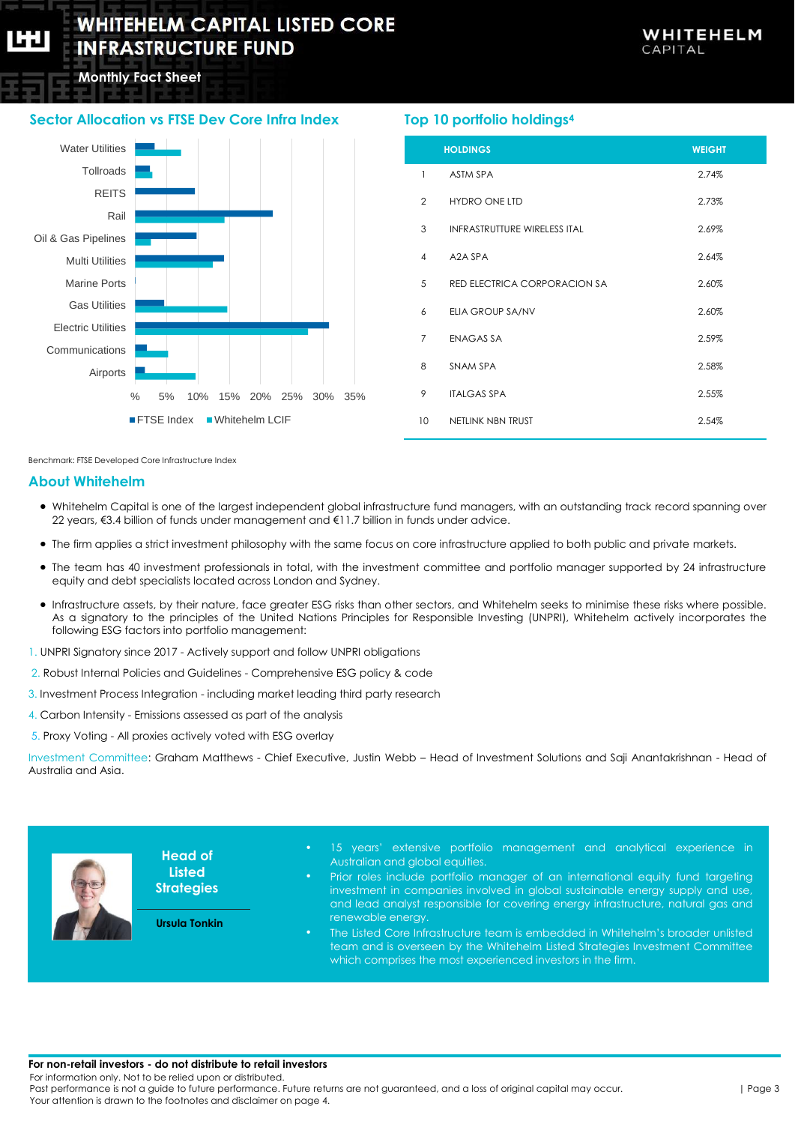# **WHITEHELM CAPITAL LISTED CORE INFRASTRUCTURE FUND**

**Monthly Fact Sheet**

# **Sector Allocation vs FTSE Dev Core Infra Index**



# **Top 10 portfolio holdings<sup>4</sup>**

|                | <b>HOLDINGS</b>                     | <b>WEIGHT</b> |
|----------------|-------------------------------------|---------------|
| $\mathbf{1}$   | <b>ASTM SPA</b>                     | 2.74%         |
| $\overline{2}$ | <b>HYDRO ONE LTD</b>                | 2.73%         |
| 3              | <b>INFRASTRUTTURE WIRELESS ITAL</b> | 2.69%         |
| 4              | A2A SPA                             | 2.64%         |
| 5              | RED ELECTRICA CORPORACION SA        | 2.60%         |
| 6              | ELIA GROUP SA/NV                    | 2.60%         |
| $\overline{7}$ | <b>ENAGAS SA</b>                    | 2.59%         |
| 8              | SNAM SPA                            | 2.58%         |
| 9              | <b>ITALGAS SPA</b>                  | 2.55%         |
| 10             | NETLINK NBN TRUST                   | 2.54%         |

Benchmark: FTSE Developed Core Infrastructure Index

# **About Whitehelm**

- Whitehelm Capital is one of the largest independent global infrastructure fund managers, with an outstanding track record spanning over 22 years, €3.4 billion of funds under management and €11.7 billion in funds under advice.
- The firm applies a strict investment philosophy with the same focus on core infrastructure applied to both public and private markets.
- The team has 40 investment professionals in total, with the investment committee and portfolio manager supported by 24 infrastructure equity and debt specialists located across London and Sydney.
- Infrastructure assets, by their nature, face greater ESG risks than other sectors, and Whitehelm seeks to minimise these risks where possible. As a signatory to the principles of the United Nations Principles for Responsible Investing (UNPRI), Whitehelm actively incorporates the following ESG factors into portfolio management:
- 1. UNPRI Signatory since 2017 Actively support and follow UNPRI obligations
- 2. Robust Internal Policies and Guidelines Comprehensive ESG policy & code
- 3. Investment Process Integration including market leading third party research
- 4. Carbon Intensity Emissions assessed as part of the analysis
- 5. Proxy Voting All proxies actively voted with ESG overlay

Investment Committee: Graham Matthews - Chief Executive, Justin Webb – Head of Investment Solutions and Saji Anantakrishnan - Head of Australia and Asia.



**Head of Listed Strategies**

**Ursula Tonkin**

- 15 years' extensive portfolio management and analytical experience in Australian and global equities.
- Prior roles include portfolio manager of an international equity fund targeting investment in companies involved in global sustainable energy supply and use and lead analyst responsible for covering energy infrastructure, natural gas and renewable energy.
- The Listed Core Infrastructure team is embedded in Whitehelm's broader unlisted team and is overseen by the Whitehelm Listed Strategies Investment Committee which comprises the most experienced investors in the firm.

#### **For non-retail investors - do not distribute to retail investors**

For information only. Not to be relied upon or distributed.

Past performance is not a guide to future performance. Future returns are not guaranteed, and a loss of original capital may occur. Your attention is drawn to the footnotes and disclaimer on page 4.